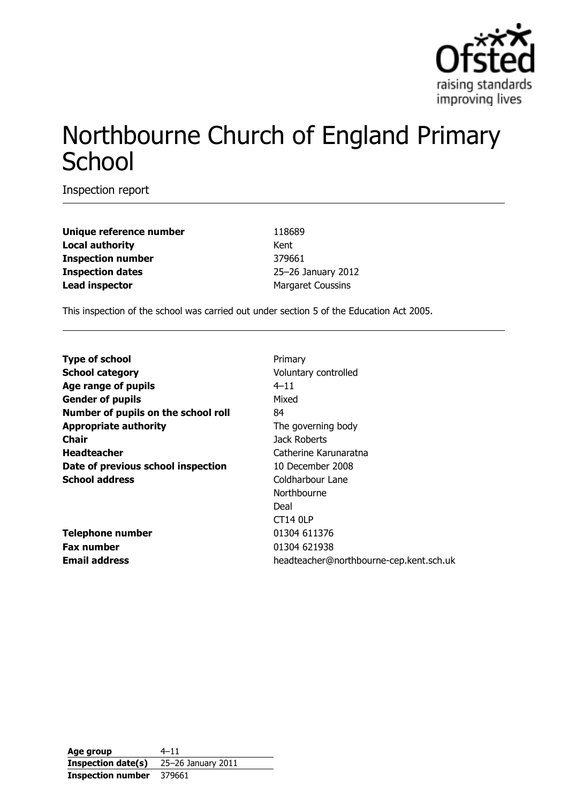

# Northbourne Church of England Primary **School**

Inspection report

**Unique reference number** 118689 **Local authority** Kent **Inspection number** 379661 **Inspection dates** 25–26 January 2012 **Lead inspector** Margaret Coussins

This inspection of the school was carried out under section 5 of the Education Act 2005.

| <b>Type of school</b>               | Primary                                 |
|-------------------------------------|-----------------------------------------|
| <b>School category</b>              | Voluntary controlled                    |
| Age range of pupils                 | $4 - 11$                                |
| <b>Gender of pupils</b>             | Mixed                                   |
| Number of pupils on the school roll | 84                                      |
| <b>Appropriate authority</b>        | The governing body                      |
| <b>Chair</b>                        | Jack Roberts                            |
| <b>Headteacher</b>                  | Catherine Karunaratna                   |
| Date of previous school inspection  | 10 December 2008                        |
| <b>School address</b>               | Coldharbour Lane                        |
|                                     | Northbourne                             |
|                                     | Deal                                    |
|                                     | <b>CT14 0LP</b>                         |
| <b>Telephone number</b>             | 01304 611376                            |
| <b>Fax number</b>                   | 01304 621938                            |
| <b>Email address</b>                | headteacher@northbourne-cep.kent.sch.uk |

**Age group** 4–11 **Inspection date(s)** 25–26 January 2011 **Inspection number** 379661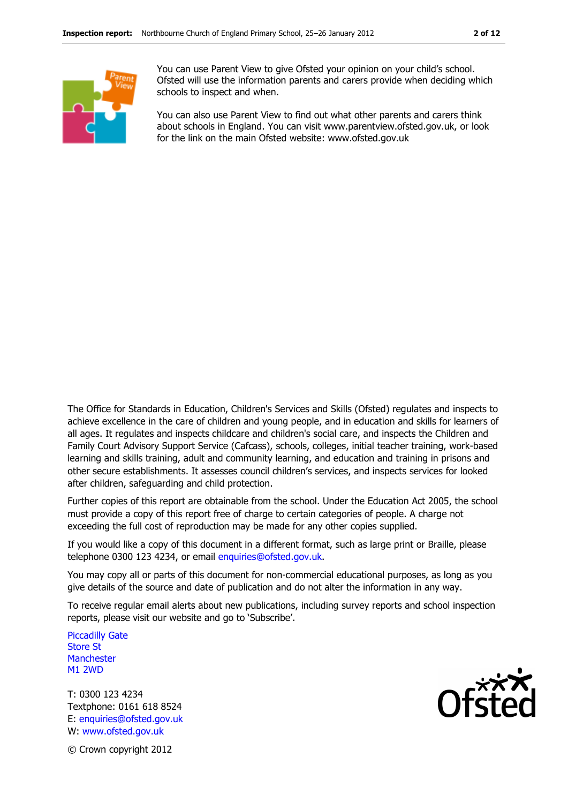

You can use Parent View to give Ofsted your opinion on your child's school. Ofsted will use the information parents and carers provide when deciding which schools to inspect and when.

You can also use Parent View to find out what other parents and carers think about schools in England. You can visit www.parentview.ofsted.gov.uk, or look for the link on the main Ofsted website: www.ofsted.gov.uk

The Office for Standards in Education, Children's Services and Skills (Ofsted) regulates and inspects to achieve excellence in the care of children and young people, and in education and skills for learners of all ages. It regulates and inspects childcare and children's social care, and inspects the Children and Family Court Advisory Support Service (Cafcass), schools, colleges, initial teacher training, work-based learning and skills training, adult and community learning, and education and training in prisons and other secure establishments. It assesses council children's services, and inspects services for looked after children, safeguarding and child protection.

Further copies of this report are obtainable from the school. Under the Education Act 2005, the school must provide a copy of this report free of charge to certain categories of people. A charge not exceeding the full cost of reproduction may be made for any other copies supplied.

If you would like a copy of this document in a different format, such as large print or Braille, please telephone 0300 123 4234, or email enquiries@ofsted.gov.uk.

You may copy all or parts of this document for non-commercial educational purposes, as long as you give details of the source and date of publication and do not alter the information in any way.

To receive regular email alerts about new publications, including survey reports and school inspection reports, please visit our website and go to 'Subscribe'.

Piccadilly Gate Store St **Manchester** M1 2WD

T: 0300 123 4234 Textphone: 0161 618 8524 E: enquiries@ofsted.gov.uk W: www.ofsted.gov.uk



© Crown copyright 2012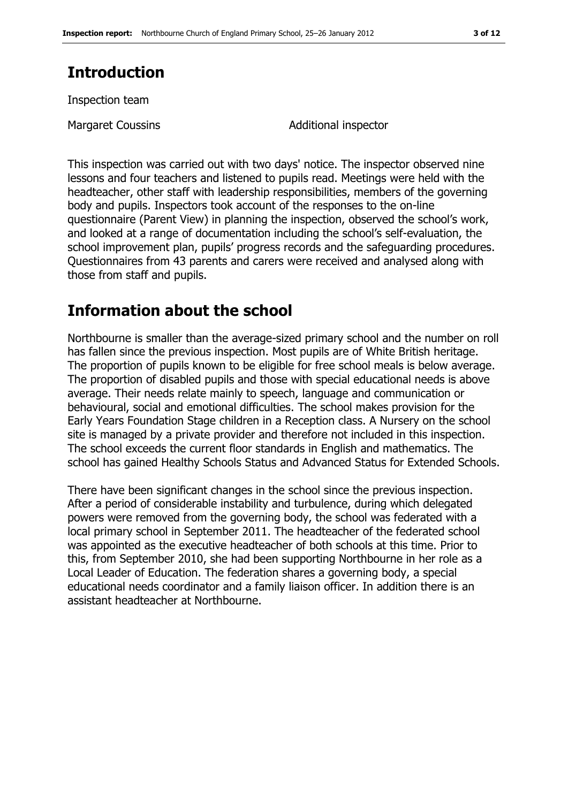# **Introduction**

Inspection team

Margaret Coussins **Margaret Coussins** Additional inspector

This inspection was carried out with two days' notice. The inspector observed nine lessons and four teachers and listened to pupils read. Meetings were held with the headteacher, other staff with leadership responsibilities, members of the governing body and pupils. Inspectors took account of the responses to the on-line questionnaire (Parent View) in planning the inspection, observed the school's work, and looked at a range of documentation including the school's self-evaluation, the school improvement plan, pupils' progress records and the safeguarding procedures. Questionnaires from 43 parents and carers were received and analysed along with those from staff and pupils.

## **Information about the school**

Northbourne is smaller than the average-sized primary school and the number on roll has fallen since the previous inspection. Most pupils are of White British heritage. The proportion of pupils known to be eligible for free school meals is below average. The proportion of disabled pupils and those with special educational needs is above average. Their needs relate mainly to speech, language and communication or behavioural, social and emotional difficulties. The school makes provision for the Early Years Foundation Stage children in a Reception class. A Nursery on the school site is managed by a private provider and therefore not included in this inspection. The school exceeds the current floor standards in English and mathematics. The school has gained Healthy Schools Status and Advanced Status for Extended Schools.

There have been significant changes in the school since the previous inspection. After a period of considerable instability and turbulence, during which delegated powers were removed from the governing body, the school was federated with a local primary school in September 2011. The headteacher of the federated school was appointed as the executive headteacher of both schools at this time. Prior to this, from September 2010, she had been supporting Northbourne in her role as a Local Leader of Education. The federation shares a governing body, a special educational needs coordinator and a family liaison officer. In addition there is an assistant headteacher at Northbourne.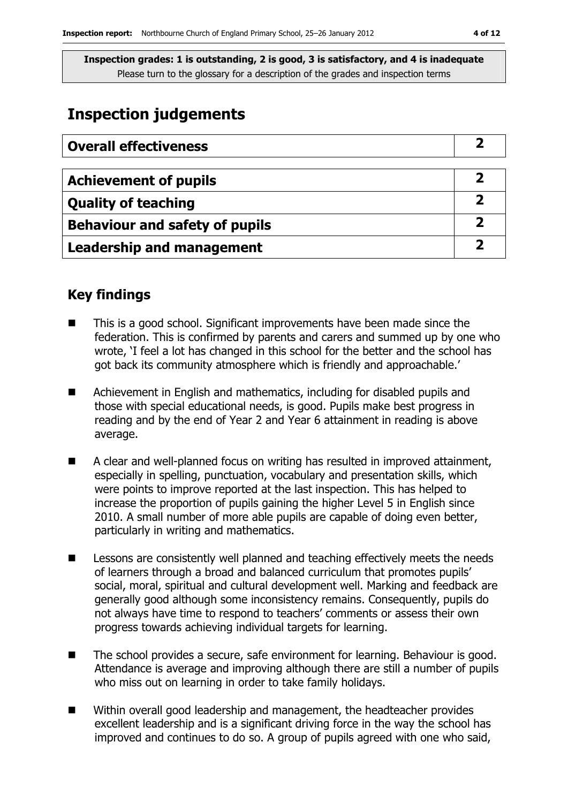# **Inspection judgements**

| <b>Overall effectiveness</b>          |  |
|---------------------------------------|--|
|                                       |  |
| <b>Achievement of pupils</b>          |  |
| <b>Quality of teaching</b>            |  |
| <b>Behaviour and safety of pupils</b> |  |
| <b>Leadership and management</b>      |  |

## **Key findings**

- This is a good school. Significant improvements have been made since the federation. This is confirmed by parents and carers and summed up by one who wrote, 'I feel a lot has changed in this school for the better and the school has got back its community atmosphere which is friendly and approachable.'
- Achievement in English and mathematics, including for disabled pupils and those with special educational needs, is good. Pupils make best progress in reading and by the end of Year 2 and Year 6 attainment in reading is above average.
- A clear and well-planned focus on writing has resulted in improved attainment, especially in spelling, punctuation, vocabulary and presentation skills, which were points to improve reported at the last inspection. This has helped to increase the proportion of pupils gaining the higher Level 5 in English since 2010. A small number of more able pupils are capable of doing even better, particularly in writing and mathematics.
- Lessons are consistently well planned and teaching effectively meets the needs of learners through a broad and balanced curriculum that promotes pupils' social, moral, spiritual and cultural development well. Marking and feedback are generally good although some inconsistency remains. Consequently, pupils do not always have time to respond to teachers' comments or assess their own progress towards achieving individual targets for learning.
- The school provides a secure, safe environment for learning. Behaviour is good. Attendance is average and improving although there are still a number of pupils who miss out on learning in order to take family holidays.
- Within overall good leadership and management, the headteacher provides excellent leadership and is a significant driving force in the way the school has improved and continues to do so. A group of pupils agreed with one who said,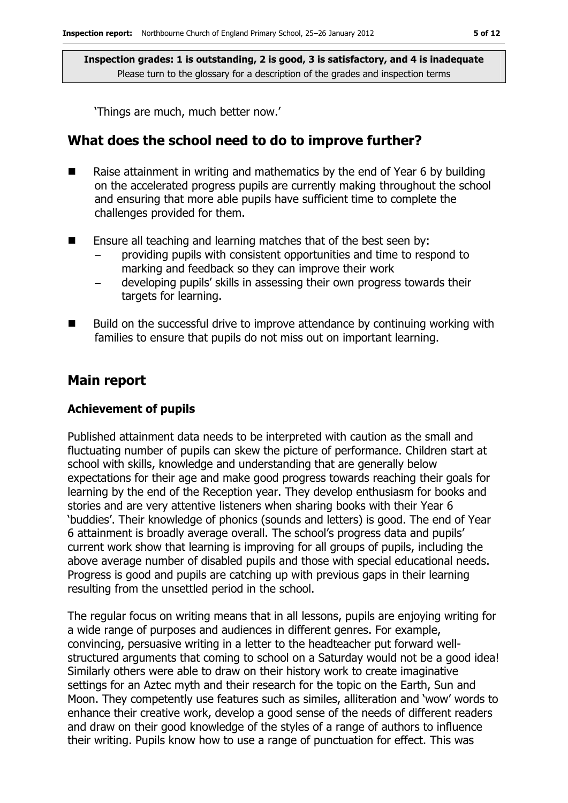'Things are much, much better now.'

### **What does the school need to do to improve further?**

- Raise attainment in writing and mathematics by the end of Year 6 by building on the accelerated progress pupils are currently making throughout the school and ensuring that more able pupils have sufficient time to complete the challenges provided for them.
- **E** Ensure all teaching and learning matches that of the best seen by:
	- − providing pupils with consistent opportunities and time to respond to marking and feedback so they can improve their work
	- − developing pupils' skills in assessing their own progress towards their targets for learning.
- Build on the successful drive to improve attendance by continuing working with families to ensure that pupils do not miss out on important learning.

#### **Main report**

#### **Achievement of pupils**

Published attainment data needs to be interpreted with caution as the small and fluctuating number of pupils can skew the picture of performance. Children start at school with skills, knowledge and understanding that are generally below expectations for their age and make good progress towards reaching their goals for learning by the end of the Reception year. They develop enthusiasm for books and stories and are very attentive listeners when sharing books with their Year 6 'buddies'. Their knowledge of phonics (sounds and letters) is good. The end of Year 6 attainment is broadly average overall. The school's progress data and pupils' current work show that learning is improving for all groups of pupils, including the above average number of disabled pupils and those with special educational needs. Progress is good and pupils are catching up with previous gaps in their learning resulting from the unsettled period in the school.

The regular focus on writing means that in all lessons, pupils are enjoying writing for a wide range of purposes and audiences in different genres. For example, convincing, persuasive writing in a letter to the headteacher put forward wellstructured arguments that coming to school on a Saturday would not be a good idea! Similarly others were able to draw on their history work to create imaginative settings for an Aztec myth and their research for the topic on the Earth, Sun and Moon. They competently use features such as similes, alliteration and 'wow' words to enhance their creative work, develop a good sense of the needs of different readers and draw on their good knowledge of the styles of a range of authors to influence their writing. Pupils know how to use a range of punctuation for effect. This was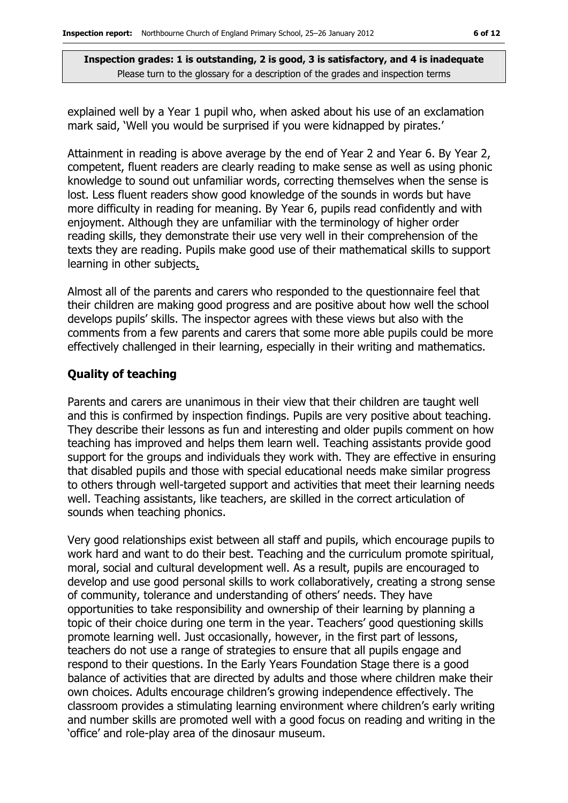explained well by a Year 1 pupil who, when asked about his use of an exclamation mark said, 'Well you would be surprised if you were kidnapped by pirates.'

Attainment in reading is above average by the end of Year 2 and Year 6. By Year 2, competent, fluent readers are clearly reading to make sense as well as using phonic knowledge to sound out unfamiliar words, correcting themselves when the sense is lost. Less fluent readers show good knowledge of the sounds in words but have more difficulty in reading for meaning. By Year 6, pupils read confidently and with enjoyment. Although they are unfamiliar with the terminology of higher order reading skills, they demonstrate their use very well in their comprehension of the texts they are reading. Pupils make good use of their mathematical skills to support learning in other subjects.

Almost all of the parents and carers who responded to the questionnaire feel that their children are making good progress and are positive about how well the school develops pupils' skills. The inspector agrees with these views but also with the comments from a few parents and carers that some more able pupils could be more effectively challenged in their learning, especially in their writing and mathematics.

#### **Quality of teaching**

Parents and carers are unanimous in their view that their children are taught well and this is confirmed by inspection findings. Pupils are very positive about teaching. They describe their lessons as fun and interesting and older pupils comment on how teaching has improved and helps them learn well. Teaching assistants provide good support for the groups and individuals they work with. They are effective in ensuring that disabled pupils and those with special educational needs make similar progress to others through well-targeted support and activities that meet their learning needs well. Teaching assistants, like teachers, are skilled in the correct articulation of sounds when teaching phonics.

Very good relationships exist between all staff and pupils, which encourage pupils to work hard and want to do their best. Teaching and the curriculum promote spiritual, moral, social and cultural development well. As a result, pupils are encouraged to develop and use good personal skills to work collaboratively, creating a strong sense of community, tolerance and understanding of others' needs. They have opportunities to take responsibility and ownership of their learning by planning a topic of their choice during one term in the year. Teachers' good questioning skills promote learning well. Just occasionally, however, in the first part of lessons, teachers do not use a range of strategies to ensure that all pupils engage and respond to their questions. In the Early Years Foundation Stage there is a good balance of activities that are directed by adults and those where children make their own choices. Adults encourage children's growing independence effectively. The classroom provides a stimulating learning environment where children's early writing and number skills are promoted well with a good focus on reading and writing in the 'office' and role-play area of the dinosaur museum.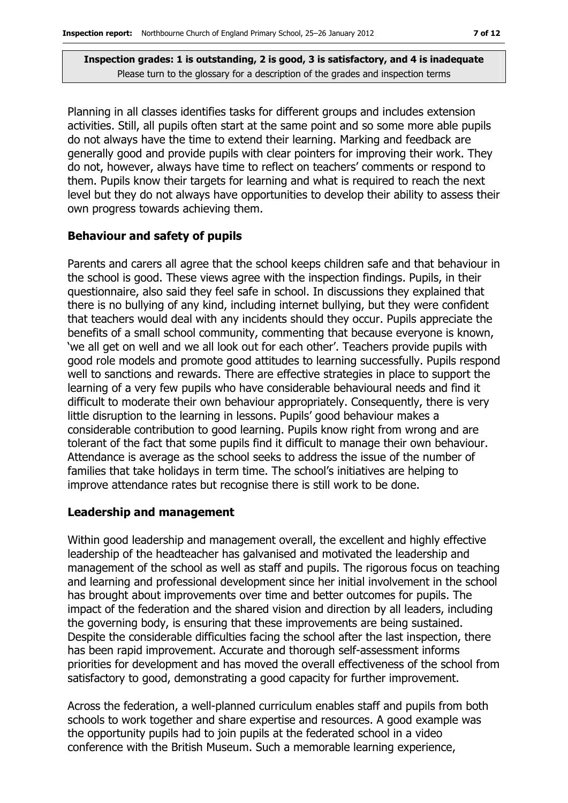Planning in all classes identifies tasks for different groups and includes extension activities. Still, all pupils often start at the same point and so some more able pupils do not always have the time to extend their learning. Marking and feedback are generally good and provide pupils with clear pointers for improving their work. They do not, however, always have time to reflect on teachers' comments or respond to them. Pupils know their targets for learning and what is required to reach the next level but they do not always have opportunities to develop their ability to assess their own progress towards achieving them.

#### **Behaviour and safety of pupils**

Parents and carers all agree that the school keeps children safe and that behaviour in the school is good. These views agree with the inspection findings. Pupils, in their questionnaire, also said they feel safe in school. In discussions they explained that there is no bullying of any kind, including internet bullying, but they were confident that teachers would deal with any incidents should they occur. Pupils appreciate the benefits of a small school community, commenting that because everyone is known, 'we all get on well and we all look out for each other'. Teachers provide pupils with good role models and promote good attitudes to learning successfully. Pupils respond well to sanctions and rewards. There are effective strategies in place to support the learning of a very few pupils who have considerable behavioural needs and find it difficult to moderate their own behaviour appropriately. Consequently, there is very little disruption to the learning in lessons. Pupils' good behaviour makes a considerable contribution to good learning. Pupils know right from wrong and are tolerant of the fact that some pupils find it difficult to manage their own behaviour. Attendance is average as the school seeks to address the issue of the number of families that take holidays in term time. The school's initiatives are helping to improve attendance rates but recognise there is still work to be done.

#### **Leadership and management**

Within good leadership and management overall, the excellent and highly effective leadership of the headteacher has galvanised and motivated the leadership and management of the school as well as staff and pupils. The rigorous focus on teaching and learning and professional development since her initial involvement in the school has brought about improvements over time and better outcomes for pupils. The impact of the federation and the shared vision and direction by all leaders, including the governing body, is ensuring that these improvements are being sustained. Despite the considerable difficulties facing the school after the last inspection, there has been rapid improvement. Accurate and thorough self-assessment informs priorities for development and has moved the overall effectiveness of the school from satisfactory to good, demonstrating a good capacity for further improvement.

Across the federation, a well-planned curriculum enables staff and pupils from both schools to work together and share expertise and resources. A good example was the opportunity pupils had to join pupils at the federated school in a video conference with the British Museum. Such a memorable learning experience,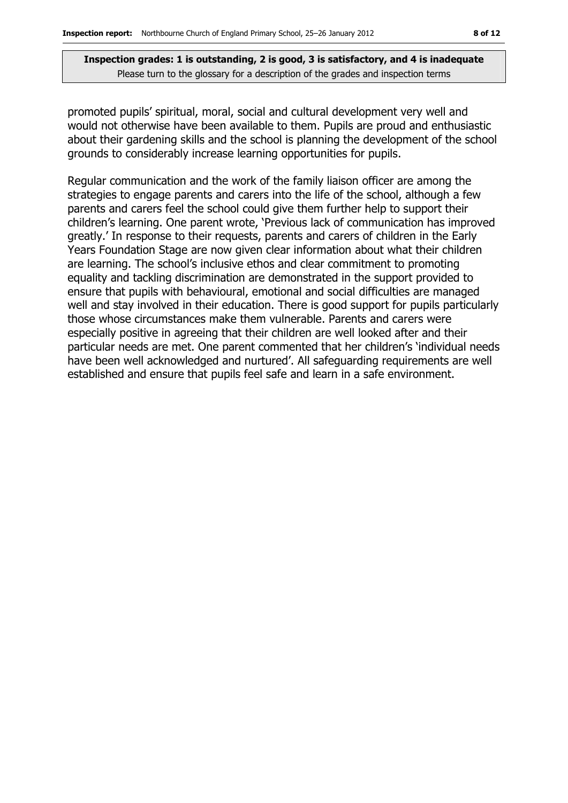promoted pupils' spiritual, moral, social and cultural development very well and would not otherwise have been available to them. Pupils are proud and enthusiastic about their gardening skills and the school is planning the development of the school grounds to considerably increase learning opportunities for pupils.

Regular communication and the work of the family liaison officer are among the strategies to engage parents and carers into the life of the school, although a few parents and carers feel the school could give them further help to support their children's learning. One parent wrote, 'Previous lack of communication has improved greatly.' In response to their requests, parents and carers of children in the Early Years Foundation Stage are now given clear information about what their children are learning. The school's inclusive ethos and clear commitment to promoting equality and tackling discrimination are demonstrated in the support provided to ensure that pupils with behavioural, emotional and social difficulties are managed well and stay involved in their education. There is good support for pupils particularly those whose circumstances make them vulnerable. Parents and carers were especially positive in agreeing that their children are well looked after and their particular needs are met. One parent commented that her children's 'individual needs have been well acknowledged and nurtured'. All safeguarding requirements are well established and ensure that pupils feel safe and learn in a safe environment.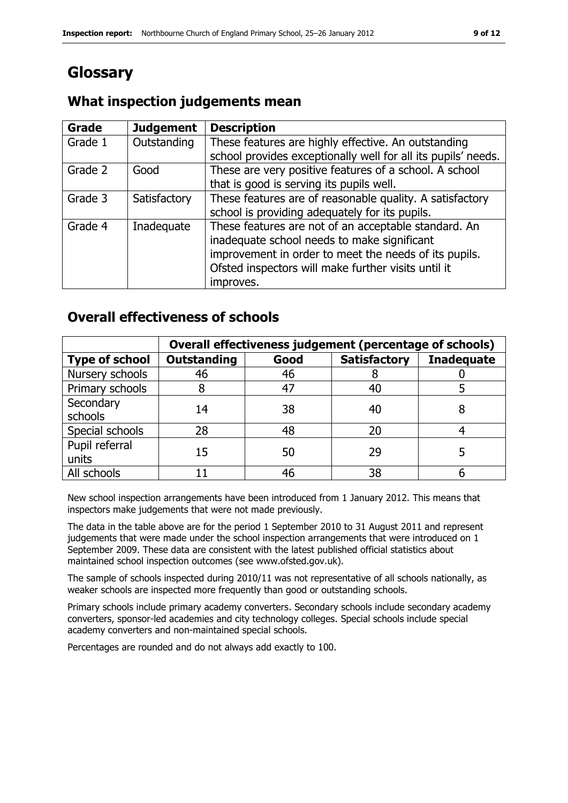# **Glossary**

## **What inspection judgements mean**

| Grade   | <b>Judgement</b> | <b>Description</b>                                            |
|---------|------------------|---------------------------------------------------------------|
| Grade 1 | Outstanding      | These features are highly effective. An outstanding           |
|         |                  | school provides exceptionally well for all its pupils' needs. |
| Grade 2 | Good             | These are very positive features of a school. A school        |
|         |                  | that is good is serving its pupils well.                      |
| Grade 3 | Satisfactory     | These features are of reasonable quality. A satisfactory      |
|         |                  | school is providing adequately for its pupils.                |
| Grade 4 | Inadequate       | These features are not of an acceptable standard. An          |
|         |                  | inadequate school needs to make significant                   |
|         |                  | improvement in order to meet the needs of its pupils.         |
|         |                  | Ofsted inspectors will make further visits until it           |
|         |                  | improves.                                                     |

## **Overall effectiveness of schools**

|                         | Overall effectiveness judgement (percentage of schools) |      |                     |                   |
|-------------------------|---------------------------------------------------------|------|---------------------|-------------------|
| <b>Type of school</b>   | <b>Outstanding</b>                                      | Good | <b>Satisfactory</b> | <b>Inadequate</b> |
| Nursery schools         | 46                                                      | 46   | õ                   |                   |
| Primary schools         |                                                         | 47   | 40                  |                   |
| Secondary<br>schools    | 14                                                      | 38   | 40                  |                   |
| Special schools         | 28                                                      | 48   | 20                  |                   |
| Pupil referral<br>units | 15                                                      | 50   | 29                  |                   |
| All schools             |                                                         | 46   | 38                  |                   |

New school inspection arrangements have been introduced from 1 January 2012. This means that inspectors make judgements that were not made previously.

The data in the table above are for the period 1 September 2010 to 31 August 2011 and represent judgements that were made under the school inspection arrangements that were introduced on 1 September 2009. These data are consistent with the latest published official statistics about maintained school inspection outcomes (see www.ofsted.gov.uk).

The sample of schools inspected during 2010/11 was not representative of all schools nationally, as weaker schools are inspected more frequently than good or outstanding schools.

Primary schools include primary academy converters. Secondary schools include secondary academy converters, sponsor-led academies and city technology colleges. Special schools include special academy converters and non-maintained special schools.

Percentages are rounded and do not always add exactly to 100.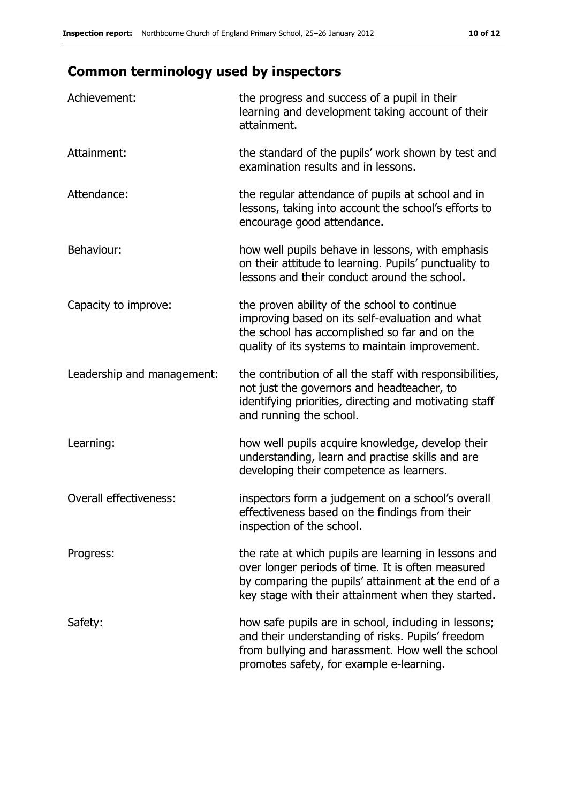# **Common terminology used by inspectors**

| Achievement:               | the progress and success of a pupil in their<br>learning and development taking account of their<br>attainment.                                                                                                        |
|----------------------------|------------------------------------------------------------------------------------------------------------------------------------------------------------------------------------------------------------------------|
| Attainment:                | the standard of the pupils' work shown by test and<br>examination results and in lessons.                                                                                                                              |
| Attendance:                | the regular attendance of pupils at school and in<br>lessons, taking into account the school's efforts to<br>encourage good attendance.                                                                                |
| Behaviour:                 | how well pupils behave in lessons, with emphasis<br>on their attitude to learning. Pupils' punctuality to<br>lessons and their conduct around the school.                                                              |
| Capacity to improve:       | the proven ability of the school to continue<br>improving based on its self-evaluation and what<br>the school has accomplished so far and on the<br>quality of its systems to maintain improvement.                    |
| Leadership and management: | the contribution of all the staff with responsibilities,<br>not just the governors and headteacher, to<br>identifying priorities, directing and motivating staff<br>and running the school.                            |
| Learning:                  | how well pupils acquire knowledge, develop their<br>understanding, learn and practise skills and are<br>developing their competence as learners.                                                                       |
| Overall effectiveness:     | inspectors form a judgement on a school's overall<br>effectiveness based on the findings from their<br>inspection of the school.                                                                                       |
| Progress:                  | the rate at which pupils are learning in lessons and<br>over longer periods of time. It is often measured<br>by comparing the pupils' attainment at the end of a<br>key stage with their attainment when they started. |
| Safety:                    | how safe pupils are in school, including in lessons;<br>and their understanding of risks. Pupils' freedom<br>from bullying and harassment. How well the school<br>promotes safety, for example e-learning.             |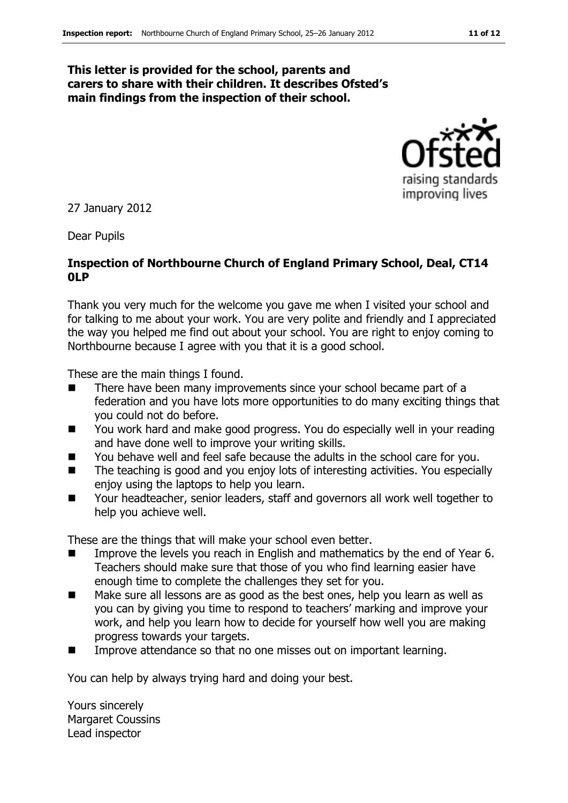#### **This letter is provided for the school, parents and carers to share with their children. It describes Ofsted's main findings from the inspection of their school.**



27 January 2012

Dear Pupils

#### **Inspection of Northbourne Church of England Primary School, Deal, CT14 0LP**

Thank you very much for the welcome you gave me when I visited your school and for talking to me about your work. You are very polite and friendly and I appreciated the way you helped me find out about your school. You are right to enjoy coming to Northbourne because I agree with you that it is a good school.

These are the main things I found.

- There have been many improvements since your school became part of a federation and you have lots more opportunities to do many exciting things that you could not do before.
- You work hard and make good progress. You do especially well in your reading and have done well to improve your writing skills.
- You behave well and feel safe because the adults in the school care for you.
- The teaching is good and you enjoy lots of interesting activities. You especially enjoy using the laptops to help you learn.
- Your headteacher, senior leaders, staff and governors all work well together to help you achieve well.

These are the things that will make your school even better.

- Improve the levels you reach in English and mathematics by the end of Year 6. Teachers should make sure that those of you who find learning easier have enough time to complete the challenges they set for you.
- Make sure all lessons are as good as the best ones, help you learn as well as you can by giving you time to respond to teachers' marking and improve your work, and help you learn how to decide for yourself how well you are making progress towards your targets.
- Improve attendance so that no one misses out on important learning.

You can help by always trying hard and doing your best.

Yours sincerely Margaret Coussins Lead inspector